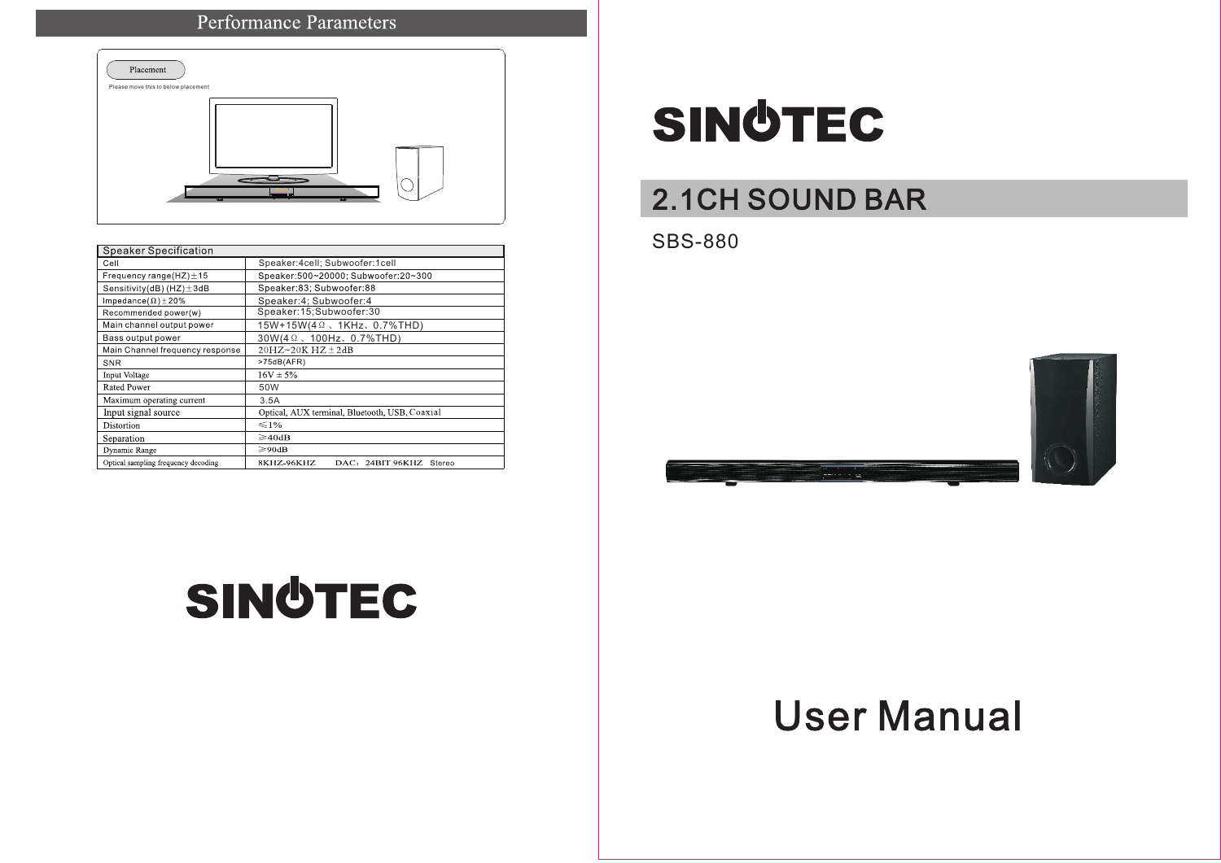#### **Performance Parameters**



| <b>Speaker Specification</b>        |                                                |
|-------------------------------------|------------------------------------------------|
| Cell                                | Speaker:4cell; Subwoofer:1cell                 |
| Frequency range $(HZ)$ $\pm$ 15     | Speaker:500~20000; Subwoofer:20~300            |
| Sensitivity(dB) $(HZ) \pm 3dB$      | Speaker:83; Subwoofer:88                       |
| Impedance( $\Omega$ ) ± 20%         | Speaker:4; Subwoofer:4                         |
| Recommended power(w)                | Speaker: 15; Subwoofer: 30                     |
| Main channel output power           | 15W+15W(4Ω、1KHz、0.7%THD)                       |
| Bass output power                   | $30W(4 \Omega, 100Hz, 0.7\%THD)$               |
| Main Channel frequency response     | 20HZ~20K HZ ± 2dB                              |
| <b>SNR</b>                          | >75dB(AFR)                                     |
| Input Voltage                       | $16V \pm 5\%$                                  |
| Rated Power                         | 50W                                            |
| Maximum operating current           | 3.5A                                           |
| Input signal source                 | Optical, AUX terminal, Bluetooth, USB, Coaxial |
| Distortion                          | ≤1%                                            |
| Separation                          | $\geq 40dB$                                    |
| Dynamic Range                       | $\geqslant$ 90dB                               |
| Optical sampling frequency decoding | 8KHZ-96KHZ<br>DAC: 24BIT 96KHZ<br>Stereo       |

# **SINOTEC**

## 2.1CH SOUND BAR

**SBS-880** 



# **SINOTEC**

## **User Manual**